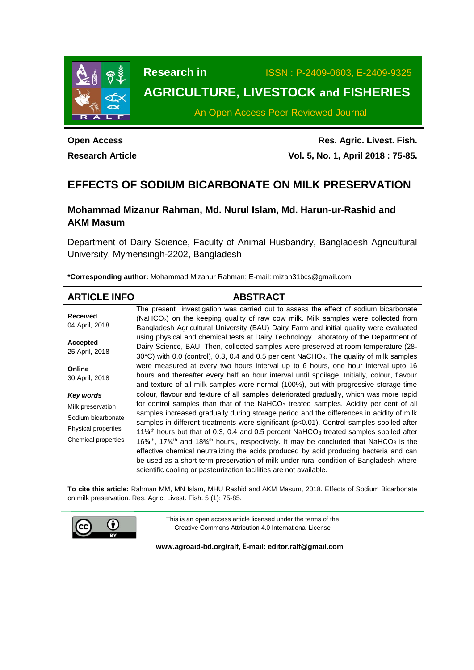

**Research in** ISSN : P-2409-0603, E-2409-9325

# **AGRICULTURE, LIVESTOCK and FISHERIES**

An Open Access Peer Reviewed Journal

## **Open Access Research Article**

**Res. Agric. Livest. Fish. Vol. 5, No. 1, April 2018 : 75-85.**

# **EFFECTS OF SODIUM BICARBONATE ON MILK PRESERVATION**

## **Mohammad Mizanur Rahman, Md. Nurul Islam, Md. Harun-ur-Rashid and AKM Masum**

Department of Dairy Science, Faculty of Animal Husbandry, Bangladesh Agricultural University, Mymensingh-2202, Bangladesh

**\*Corresponding author:** Mohammad Mizanur Rahman; E-mail: [mizan31bcs@gmail.com](mailto:mizan31bcs@gmail.com)

| <b>ARTICLE INFO</b>               | <b>ABSTRACT</b>                                                                                                                                                                                                                                                                                                                                                                                                               |
|-----------------------------------|-------------------------------------------------------------------------------------------------------------------------------------------------------------------------------------------------------------------------------------------------------------------------------------------------------------------------------------------------------------------------------------------------------------------------------|
| <b>Received</b><br>04 April, 2018 | The present investigation was carried out to assess the effect of sodium bicarbonate<br>(NaHCO <sub>3</sub> ) on the keeping quality of raw cow milk. Milk samples were collected from<br>Bangladesh Agricultural University (BAU) Dairy Farm and initial quality were evaluated                                                                                                                                              |
| <b>Accepted</b><br>25 April, 2018 | using physical and chemical tests at Dairy Technology Laboratory of the Department of<br>Dairy Science, BAU. Then, collected samples were preserved at room temperature (28-<br>30°C) with 0.0 (control), 0.3, 0.4 and 0.5 per cent NaCHO <sub>3</sub> . The quality of milk samples                                                                                                                                          |
| Online<br>30 April, 2018          | were measured at every two hours interval up to 6 hours, one hour interval upto 16<br>hours and thereafter every half an hour interval until spoilage. Initially, colour, flavour<br>and texture of all milk samples were normal (100%), but with progressive storage time                                                                                                                                                    |
| Key words                         | colour, flavour and texture of all samples deteriorated gradually, which was more rapid                                                                                                                                                                                                                                                                                                                                       |
| Milk preservation                 | for control samples than that of the NaHCO <sub>3</sub> treated samples. Acidity per cent of all                                                                                                                                                                                                                                                                                                                              |
| Sodium bicarbonate                | samples increased gradually during storage period and the differences in acidity of milk<br>samples in different treatments were significant $(p<0.01)$ . Control samples spoiled after                                                                                                                                                                                                                                       |
| Physical properties               | 11 $\frac{1}{4}$ <sup>th</sup> hours but that of 0.3, 0.4 and 0.5 percent NaHCO <sub>3</sub> treated samples spoiled after                                                                                                                                                                                                                                                                                                    |
| Chemical properties               | $16\frac{3}{4}$ th, 17 <sup>3</sup> / <sub>4</sub> th and 18 <sup>3</sup> / <sub>4</sub> th hours,, respectively. It may be concluded that NaHCO <sub>3</sub> is the<br>effective chemical neutralizing the acids produced by acid producing bacteria and can<br>be used as a short term preservation of milk under rural condition of Bangladesh where<br>scientific cooling or pasteurization facilities are not available. |

**To cite this article:** Rahman MM, MN Islam, MHU Rashid and AKM Masum, 2018. Effects of Sodium Bicarbonate on milk preservation. Res. Agric. Livest. Fish. 5 (1): 75-85.



This is an open access article licensed under the terms of the Creative Commons Attribution 4.0 International License

**[www.agroaid-bd.org/ralf,](http://www.agroaid-bd.org/ralf) E-mail: [editor.ralf@gmail.com](mailto:editor.ralf@gmail.com)**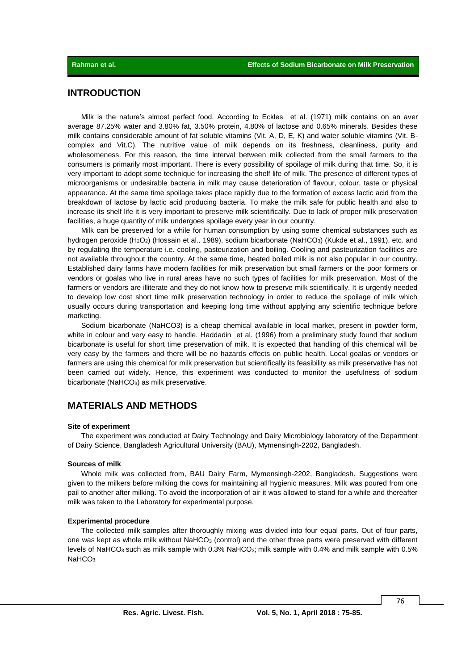### **INTRODUCTION**

Milk is the nature's almost perfect food. According to Eckles et al. (1971) milk contains on an aver average 87.25% water and 3.80% fat, 3.50% protein, 4.80% of lactose and 0.65% minerals. Besides these milk contains considerable amount of fat soluble vitamins (Vit. A, D, E, K) and water soluble vitamins (Vit. Bcomplex and Vit.C). The nutritive value of milk depends on its freshness, cleanliness, purity and wholesomeness. For this reason, the time interval between milk collected from the small farmers to the consumers is primarily most important. There is every possibility of spoilage of milk during that time. So, it is very important to adopt some technique for increasing the shelf life of milk. The presence of different types of microorganisms or undesirable bacteria in milk may cause deterioration of flavour, colour, taste or physical appearance. At the same time spoilage takes place rapidly due to the formation of excess lactic acid from the breakdown of lactose by lactic acid producing bacteria. To make the milk safe for public health and also to increase its shelf life it is very important to preserve milk scientifically. Due to lack of proper milk preservation facilities, a huge quantity of milk undergoes spoilage every year in our country.

Milk can be preserved for a while for human consumption by using some chemical substances such as hydrogen peroxide (H2O2) (Hossain et al*.,* 1989), sodium bicarbonate (NaHCO3) (Kukde et al., 1991), etc. and by regulating the temperature i.e. cooling, pasteurization and boiling. Cooling and pasteurization facilities are not available throughout the country. At the same time, heated boiled milk is not also popular in our country. Established dairy farms have modern facilities for milk preservation but small farmers or the poor formers or vendors or goalas who live in rural areas have no such types of facilities for milk preservation. Most of the farmers or vendors are illiterate and they do not know how to preserve milk scientifically. It is urgently needed to develop low cost short time milk preservation technology in order to reduce the spoilage of milk which usually occurs during transportation and keeping long time without applying any scientific technique before marketing.

Sodium bicarbonate (NaHCO3) is a cheap chemical available in local market, present in powder form, white in colour and very easy to handle. Haddadin et al. (1996) from a preliminary study found that sodium bicarbonate is useful for short time preservation of milk. It is expected that handling of this chemical will be very easy by the farmers and there will be no hazards effects on public health. Local goalas or vendors or farmers are using this chemical for milk preservation but scientifically its feasibility as milk preservative has not been carried out widely. Hence, this experiment was conducted to monitor the usefulness of sodium bicarbonate (NaHCO<sub>3</sub>) as milk preservative.

### **MATERIALS AND METHODS**

#### **Site of experiment**

The experiment was conducted at Dairy Technology and Dairy Microbiology laboratory of the Department of Dairy Science, Bangladesh Agricultural University (BAU), Mymensingh-2202, Bangladesh.

#### **Sources of milk**

Whole milk was collected from, BAU Dairy Farm, Mymensingh-2202, Bangladesh. Suggestions were given to the milkers before milking the cows for maintaining all hygienic measures. Milk was poured from one pail to another after milking. To avoid the incorporation of air it was allowed to stand for a while and thereafter milk was taken to the Laboratory for experimental purpose.

#### **Experimental procedure**

The collected milk samples after thoroughly mixing was divided into four equal parts. Out of four parts, one was kept as whole milk without  $N = N_G$  (control) and the other three parts were preserved with different levels of NaHCO<sub>3</sub> such as milk sample with 0.3% NaHCO<sub>3</sub>; milk sample with 0.4% and milk sample with 0.5% NaHCO<sub>3</sub>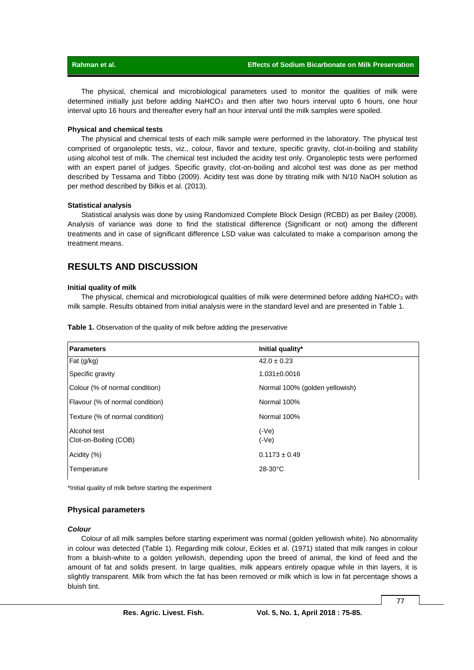The physical, chemical and microbiological parameters used to monitor the qualities of milk were determined initially just before adding NaHCO<sub>3</sub> and then after two hours interval upto 6 hours, one hour interval upto 16 hours and thereafter every half an hour interval until the milk samples were spoiled.

#### **Physical and chemical tests**

The physical and chemical tests of each milk sample were performed in the laboratory. The physical test comprised of organoleptic tests, viz., colour, flavor and texture, specific gravity, clot-in-boiling and stability using alcohol test of milk. The chemical test included the acidity test only. Organoleptic tests were performed with an expert panel of judges. Specific gravity, clot-on-boiling and alcohol test was done as per method described by Tessama and Tibbo (2009). Acidity test was done by titrating milk with N/10 NaOH solution as per method described by Bilkis et al. (2013).

#### **Statistical analysis**

Statistical analysis was done by using Randomized Complete Block Design (RCBD) as per Bailey (2008). Analysis of variance was done to find the statistical difference (Significant or not) among the different treatments and in case of significant difference LSD value was calculated to make a comparison among the treatment means.

### **RESULTS AND DISCUSSION**

#### **Initial quality of milk**

The physical, chemical and microbiological qualities of milk were determined before adding NaHCO<sub>3</sub> with milk sample. Results obtained from initial analysis were in the standard level and are presented in Table 1.

|  | Table 1. Observation of the quality of milk before adding the preservative |  |  |  |  |
|--|----------------------------------------------------------------------------|--|--|--|--|
|--|----------------------------------------------------------------------------|--|--|--|--|

| <b>Parameters</b>                     | Initial quality*               |
|---------------------------------------|--------------------------------|
| Fat (g/kg)                            | $42.0 \pm 0.23$                |
| Specific gravity                      | $1.031 \pm 0.0016$             |
| Colour (% of normal condition)        | Normal 100% (golden yellowish) |
| Flavour (% of normal condition)       | Normal 100%                    |
| Texture (% of normal condition)       | Normal 100%                    |
| Alcohol test<br>Clot-on-Boiling (COB) | $(-Ve)$<br>$(-Ve)$             |
| Acidity (%)                           | $0.1173 \pm 0.49$              |
| Temperature                           | $28-30$ °C                     |

\*Initial quality of milk before starting the experiment

#### **Physical parameters**

#### *Colour*

Colour of all milk samples before starting experiment was normal (golden yellowish white). No abnormality in colour was detected (Table 1). Regarding milk colour, Eckles et al. (1971) stated that milk ranges in colour from a bluish-white to a golden yellowish, depending upon the breed of animal, the kind of feed and the amount of fat and solids present. In large qualities, milk appears entirely opaque while in thin layers, it is slightly transparent. Milk from which the fat has been removed or milk which is low in fat percentage shows a bluish tint.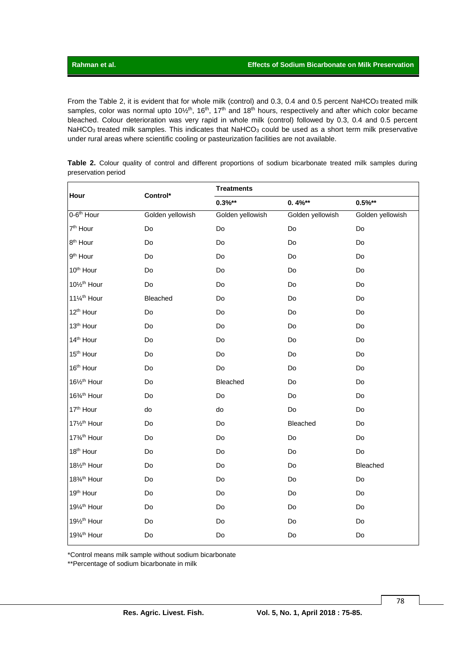From the Table 2, it is evident that for whole milk (control) and 0.3, 0.4 and 0.5 percent NaHCO<sub>3</sub> treated milk samples, color was normal upto 10½<sup>th</sup>, 16<sup>th</sup>, 17<sup>th</sup> and 18<sup>th</sup> hours, respectively and after which color became bleached. Colour deterioration was very rapid in whole milk (control) followed by 0.3, 0.4 and 0.5 percent NaHCO<sub>3</sub> treated milk samples. This indicates that NaHCO<sub>3</sub> could be used as a short term milk preservative under rural areas where scientific cooling or pasteurization facilities are not available.

**Table 2.** Colour quality of control and different proportions of sodium bicarbonate treated milk samples during preservation period

|                          | Control*         | <b>Treatments</b> |                  |                  |  |  |  |  |  |
|--------------------------|------------------|-------------------|------------------|------------------|--|--|--|--|--|
| Hour                     |                  | $0.3\%**$         | $0.4\%**$        | $0.5\%**$        |  |  |  |  |  |
| 0-6 <sup>th</sup> Hour   | Golden yellowish | Golden yellowish  | Golden yellowish | Golden yellowish |  |  |  |  |  |
| 7 <sup>th</sup> Hour     | Do               | Do                | Do               | Do               |  |  |  |  |  |
| 8 <sup>th</sup> Hour     | Do               | Do                | Do               | Do               |  |  |  |  |  |
| 9 <sup>th</sup> Hour     | Do               | Do                | Do               | Do               |  |  |  |  |  |
| 10 <sup>th</sup> Hour    | Do               | Do                | Do               | Do               |  |  |  |  |  |
| 101/2 <sup>th</sup> Hour | Do               | Do                | Do               | Do               |  |  |  |  |  |
| 111/4 <sup>th</sup> Hour | Bleached         | Do                | Do               | Do               |  |  |  |  |  |
| 12 <sup>th</sup> Hour    | Do               | Do                | Do               | Do               |  |  |  |  |  |
| 13 <sup>th</sup> Hour    | Do               | Do                | Do               | Do               |  |  |  |  |  |
| 14 <sup>th</sup> Hour    | Do               | Do                | Do               | Do               |  |  |  |  |  |
| 15 <sup>th</sup> Hour    | Do               | Do                | Do               | Do               |  |  |  |  |  |
| 16 <sup>th</sup> Hour    | Do               | Do                | Do               | Do               |  |  |  |  |  |
| 161/2 <sup>th</sup> Hour | Do               | Bleached          | Do               | Do               |  |  |  |  |  |
| 16% <sup>th</sup> Hour   | Do               | Do                | Do               | Do               |  |  |  |  |  |
| 17th Hour                | do               | do                | Do               | Do               |  |  |  |  |  |
| 171/2 <sup>th</sup> Hour | Do               | Do                | Bleached         | Do               |  |  |  |  |  |
| 173/4th Hour             | Do               | Do                | Do               | Do               |  |  |  |  |  |
| 18 <sup>th</sup> Hour    | Do               | Do                | Do               | Do               |  |  |  |  |  |
| 181/2 <sup>th</sup> Hour | Do               | Do                | Do               | Bleached         |  |  |  |  |  |
| 18% <sup>th</sup> Hour   | Do               | Do                | Do               | Do               |  |  |  |  |  |
| 19th Hour                | Do               | Do                | Do               | Do               |  |  |  |  |  |
| 191/4 <sup>th</sup> Hour | Do               | Do                | Do               | Do               |  |  |  |  |  |
| 191/2 <sup>th</sup> Hour | Do               | Do                | Do               | Do               |  |  |  |  |  |
| 1934th Hour              | Do               | Do                | Do               | Do               |  |  |  |  |  |
|                          |                  |                   |                  |                  |  |  |  |  |  |

\*Control means milk sample without sodium bicarbonate

\*\*Percentage of sodium bicarbonate in milk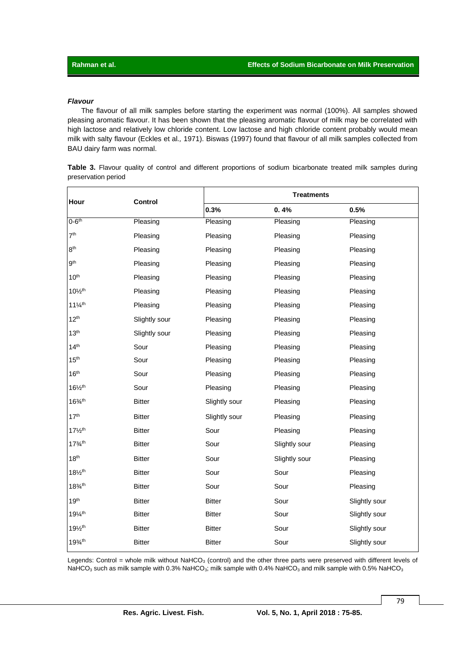#### *Flavour*

The flavour of all milk samples before starting the experiment was normal (100%). All samples showed pleasing aromatic flavour. It has been shown that the pleasing aromatic flavour of milk may be correlated with high lactose and relatively low chloride content. Low lactose and high chloride content probably would mean milk with salty flavour (Eckles et al*.,* 1971). Biswas (1997) found that flavour of all milk samples collected from BAU dairy farm was normal.

|  |                     |  |  |  |  | Table 3. Flavour quality of control and different proportions of sodium bicarbonate treated milk samples during |  |  |
|--|---------------------|--|--|--|--|-----------------------------------------------------------------------------------------------------------------|--|--|
|  | preservation period |  |  |  |  |                                                                                                                 |  |  |

| Hour                            | Control       |               | <b>Treatments</b> |               |  |  |  |  |
|---------------------------------|---------------|---------------|-------------------|---------------|--|--|--|--|
|                                 |               | 0.3%          | 0.4%              | 0.5%          |  |  |  |  |
| $0-6th$                         | Pleasing      | Pleasing      | Pleasing          | Pleasing      |  |  |  |  |
| 7 <sup>th</sup>                 | Pleasing      | Pleasing      | Pleasing          | Pleasing      |  |  |  |  |
| 8 <sup>th</sup>                 | Pleasing      | Pleasing      | Pleasing          | Pleasing      |  |  |  |  |
| g <sup>th</sup>                 | Pleasing      | Pleasing      | Pleasing          | Pleasing      |  |  |  |  |
| 10 <sup>th</sup>                | Pleasing      | Pleasing      | Pleasing          | Pleasing      |  |  |  |  |
| $10\frac{1}{2}$ <sup>th</sup>   | Pleasing      | Pleasing      | Pleasing          | Pleasing      |  |  |  |  |
| $11\frac{1}{4}$ <sup>th</sup>   | Pleasing      | Pleasing      | Pleasing          | Pleasing      |  |  |  |  |
| 12 <sup>th</sup>                | Slightly sour | Pleasing      | Pleasing          | Pleasing      |  |  |  |  |
| 13 <sup>th</sup>                | Slightly sour | Pleasing      | Pleasing          | Pleasing      |  |  |  |  |
| 14 <sup>th</sup>                | Sour          | Pleasing      | Pleasing          | Pleasing      |  |  |  |  |
| 15 <sup>th</sup>                | Sour          | Pleasing      | Pleasing          | Pleasing      |  |  |  |  |
| 16 <sup>th</sup>                | Sour          | Pleasing      | Pleasing          | Pleasing      |  |  |  |  |
| $16\frac{1}{2}$ <sup>th</sup>   | Sour          | Pleasing      | Pleasing          | Pleasing      |  |  |  |  |
| $16\frac{3}{4}$ <sup>th</sup>   | <b>Bitter</b> | Slightly sour | Pleasing          | Pleasing      |  |  |  |  |
| 17 <sup>th</sup>                | <b>Bitter</b> | Slightly sour | Pleasing          | Pleasing      |  |  |  |  |
| $17\frac{1}{2}$ <sup>th</sup>   | <b>Bitter</b> | Sour          | Pleasing          | Pleasing      |  |  |  |  |
| $17\frac{3}{4}$ th              | <b>Bitter</b> | Sour          | Slightly sour     | Pleasing      |  |  |  |  |
| 18 <sup>th</sup>                | <b>Bitter</b> | Sour          | Slightly sour     | Pleasing      |  |  |  |  |
| $18\frac{1}{2}$ <sup>th</sup>   | <b>Bitter</b> | Sour          | Sour              | Pleasing      |  |  |  |  |
| $18\frac{3}{4}$ th              | <b>Bitter</b> | Sour          | Sour              | Pleasing      |  |  |  |  |
| 19 <sup>th</sup>                | <b>Bitter</b> | <b>Bitter</b> | Sour              | Slightly sour |  |  |  |  |
| $19\frac{1}{4}$ <sup>th</sup>   | <b>Bitter</b> | <b>Bitter</b> | Sour              | Slightly sour |  |  |  |  |
| 191/ <sub>2</sub> <sup>th</sup> | <b>Bitter</b> | <b>Bitter</b> | Sour              | Slightly sour |  |  |  |  |
| $19^{3/4}$                      | <b>Bitter</b> | <b>Bitter</b> | Sour              | Slightly sour |  |  |  |  |

Legends: Control = whole milk without  $N$ aHCO<sub>3</sub> (control) and the other three parts were preserved with different levels of NaHCO<sub>3</sub> such as milk sample with 0.3% NaHCO<sub>3</sub>; milk sample with 0.4% NaHCO<sub>3</sub> and milk sample with 0.5% NaHCO<sub>3</sub>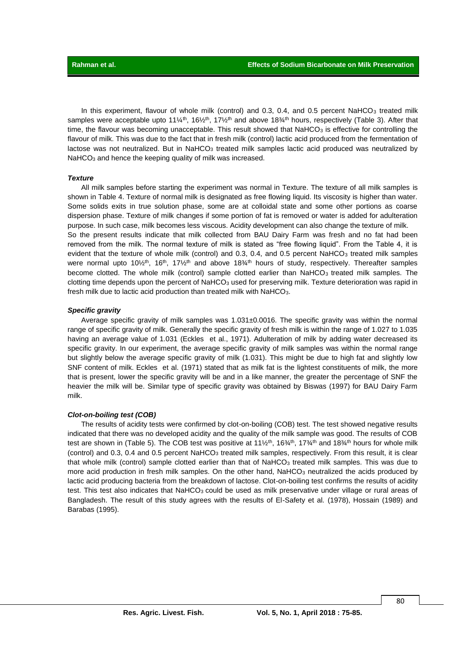In this experiment, flavour of whole milk (control) and 0.3, 0.4, and 0.5 percent NaHCO<sub>3</sub> treated milk samples were acceptable upto 11¼<sup>th</sup>, 16½<sup>th</sup>, 17½<sup>th</sup> and above 18¾<sup>th</sup> hours, respectively (Table 3). After that time, the flavour was becoming unacceptable. This result showed that NaHCO<sub>3</sub> is effective for controlling the flavour of milk. This was due to the fact that in fresh milk (control) lactic acid produced from the fermentation of lactose was not neutralized. But in NaHCO<sub>3</sub> treated milk samples lactic acid produced was neutralized by NaHCO<sub>3</sub> and hence the keeping quality of milk was increased.

#### *Texture*

All milk samples before starting the experiment was normal in Texture. The texture of all milk samples is shown in Table 4. Texture of normal milk is designated as free flowing liquid. Its viscosity is higher than water. Some solids exits in true solution phase, some are at colloidal state and some other portions as coarse dispersion phase. Texture of milk changes if some portion of fat is removed or water is added for adulteration purpose. In such case, milk becomes less viscous. Acidity development can also change the texture of milk. So the present results indicate that milk collected from BAU Dairy Farm was fresh and no fat had been removed from the milk. The normal texture of milk is stated as "free flowing liquid". From the Table 4, it is evident that the texture of whole milk (control) and 0.3, 0.4, and 0.5 percent NaHCO<sub>3</sub> treated milk samples were normal upto  $10\frac{1}{2}$ th,  $16\frac{th}{n}$ ,  $17\frac{1}{2}$ th and above  $18\frac{3}{4}$ th hours of study, respectively. Thereafter samples become clotted. The whole milk (control) sample clotted earlier than NaHCO<sub>3</sub> treated milk samples. The clotting time depends upon the percent of NaHCO $_3$  used for preserving milk. Texture deterioration was rapid in fresh milk due to lactic acid production than treated milk with NaHCO3.

#### *Specific gravity*

Average specific gravity of milk samples was 1.031±0.0016. The specific gravity was within the normal range of specific gravity of milk. Generally the specific gravity of fresh milk is within the range of 1.027 to 1.035 having an average value of 1.031 (Eckles et al., 1971). Adulteration of milk by adding water decreased its specific gravity. In our experiment, the average specific gravity of milk samples was within the normal range but slightly below the average specific gravity of milk (1.031). This might be due to high fat and slightly low SNF content of milk. Eckles et al. (1971) stated that as milk fat is the lightest constituents of milk, the more that is present, lower the specific gravity will be and in a like manner, the greater the percentage of SNF the heavier the milk will be. Similar type of specific gravity was obtained by Biswas (1997) for BAU Dairy Farm milk.

#### *Clot-on-boiling test (COB)*

The results of acidity tests were confirmed by clot-on-boiling (COB) test. The test showed negative results indicated that there was no developed acidity and the quality of the milk sample was good. The results of COB test are shown in (Table 5). The COB test was positive at  $11\frac{1}{2}$ <sup>th</sup>,  $16\frac{3}{4}$ <sup>th</sup>,  $17\frac{3}{4}$ <sup>th</sup> and  $18\frac{3}{4}$ <sup>th</sup> hours for whole milk (control) and 0.3, 0.4 and 0.5 percent NaHCO<sub>3</sub> treated milk samples, respectively. From this result, it is clear that whole milk (control) sample clotted earlier than that of NaHCO<sub>3</sub> treated milk samples. This was due to more acid production in fresh milk samples. On the other hand,  $N$ aHCO<sub>3</sub> neutralized the acids produced by lactic acid producing bacteria from the breakdown of lactose. Clot-on-boiling test confirms the results of acidity test. This test also indicates that NaHCO $_3$  could be used as milk preservative under village or rural areas of Bangladesh. The result of this study agrees with the results of El-Safety et al*.* (1978), Hossain (1989) and Barabas (1995).

80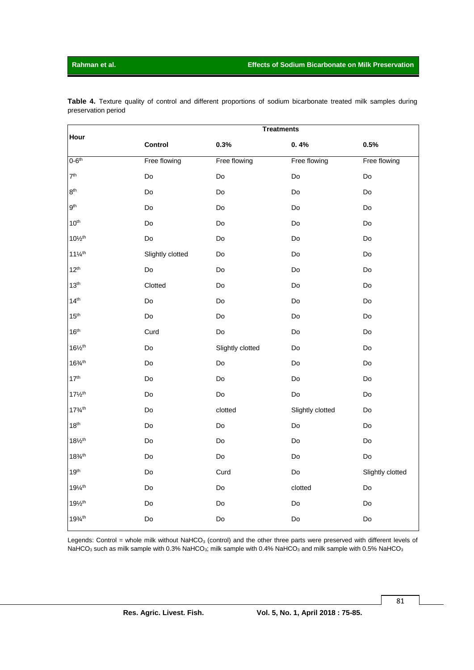|                               | <b>Treatments</b> |                  |                  |                  |  |  |  |  |  |  |  |  |
|-------------------------------|-------------------|------------------|------------------|------------------|--|--|--|--|--|--|--|--|
| Hour                          | Control           | 0.3%             | 0.4%             | 0.5%             |  |  |  |  |  |  |  |  |
| $0-6th$                       | Free flowing      | Free flowing     | Free flowing     | Free flowing     |  |  |  |  |  |  |  |  |
| 7 <sup>th</sup>               | Do                | Do               | Do               | Do               |  |  |  |  |  |  |  |  |
| 8 <sup>th</sup>               | Do                | Do               | Do               | Do               |  |  |  |  |  |  |  |  |
| 9 <sup>th</sup>               | Do                | Do               | Do               | Do               |  |  |  |  |  |  |  |  |
| 10 <sup>th</sup>              | Do                | Do               | Do               | Do               |  |  |  |  |  |  |  |  |
| $10\frac{1}{2}$ th            | Do                | Do               | Do               | Do               |  |  |  |  |  |  |  |  |
| $11\frac{1}{4}$ <sup>th</sup> | Slightly clotted  | Do               | Do               | Do               |  |  |  |  |  |  |  |  |
| $12^{th}$                     | Do                | Do               | Do               | Do               |  |  |  |  |  |  |  |  |
| 13 <sup>th</sup>              | Clotted           | Do               | Do               | Do               |  |  |  |  |  |  |  |  |
| 14 <sup>th</sup>              | Do                | Do               | Do               | Do               |  |  |  |  |  |  |  |  |
| 15 <sup>th</sup>              | Do                | Do               | Do               | Do               |  |  |  |  |  |  |  |  |
| 16 <sup>th</sup>              | Curd              | Do               | Do               | Do               |  |  |  |  |  |  |  |  |
| $16\frac{1}{2}$ <sup>th</sup> | Do                | Slightly clotted | Do               | Do               |  |  |  |  |  |  |  |  |
| $16\frac{3}{4}$ <sup>th</sup> | Do                | Do               | Do               | Do               |  |  |  |  |  |  |  |  |
| 17 <sup>th</sup>              | Do                | Do               | Do               | Do               |  |  |  |  |  |  |  |  |
| $17\frac{1}{2}$ <sup>th</sup> | Do                | Do               | Do               | Do               |  |  |  |  |  |  |  |  |
| $17\frac{3}{4}$ <sup>th</sup> | Do                | clotted          | Slightly clotted | Do               |  |  |  |  |  |  |  |  |
| 18 <sup>th</sup>              | Do                | Do               | Do               | Do               |  |  |  |  |  |  |  |  |
| $18\frac{1}{2}$ <sup>th</sup> | Do                | Do               | Do               | Do               |  |  |  |  |  |  |  |  |
| $18\frac{3}{4}$ <sup>th</sup> | Do                | Do               | Do               | Do               |  |  |  |  |  |  |  |  |
| 19 <sup>th</sup>              | Do                | Curd             | Do               | Slightly clotted |  |  |  |  |  |  |  |  |
| $19\%$ <sup>th</sup>          | Do                | Do               | clotted          | Do               |  |  |  |  |  |  |  |  |
| $19\frac{1}{2}$ th            | Do                | Do               | Do               | Do               |  |  |  |  |  |  |  |  |
| $19^{3/4}$                    | Do                | Do               | Do               | Do               |  |  |  |  |  |  |  |  |

**Table 4.** Texture quality of control and different proportions of sodium bicarbonate treated milk samples during preservation period

Legends: Control = whole milk without  $N$ aHCO<sub>3</sub> (control) and the other three parts were preserved with different levels of NaHCO<sub>3</sub> such as milk sample with 0.3% NaHCO<sub>3</sub>; milk sample with 0.4% NaHCO<sub>3</sub> and milk sample with 0.5% NaHCO<sub>3</sub>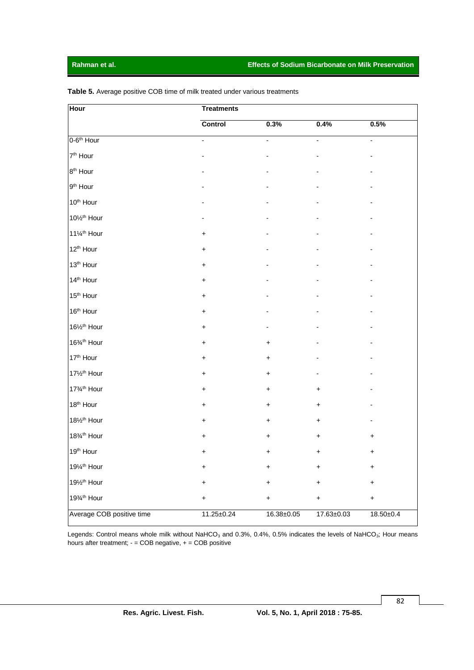| <b>Hour</b>               | <b>Treatments</b> |                          |                  |                          |  |  |  |  |  |
|---------------------------|-------------------|--------------------------|------------------|--------------------------|--|--|--|--|--|
|                           | <b>Control</b>    | 0.3%                     | 0.4%             | 0.5%                     |  |  |  |  |  |
| 0-6 <sup>th</sup> Hour    | ÷,                | $\overline{\phantom{a}}$ | $\blacksquare$   | $\overline{\phantom{a}}$ |  |  |  |  |  |
| 7 <sup>th</sup> Hour      |                   |                          |                  |                          |  |  |  |  |  |
| 8 <sup>th</sup> Hour      |                   |                          |                  |                          |  |  |  |  |  |
| 9 <sup>th</sup> Hour      |                   |                          |                  |                          |  |  |  |  |  |
| 10 <sup>th</sup> Hour     |                   |                          |                  |                          |  |  |  |  |  |
| 10% <sup>th</sup> Hour    |                   |                          |                  |                          |  |  |  |  |  |
| 111/4 <sup>th</sup> Hour  | $\ddot{}$         |                          |                  |                          |  |  |  |  |  |
| 12 <sup>th</sup> Hour     | $\ddot{}$         |                          |                  |                          |  |  |  |  |  |
| 13 <sup>th</sup> Hour     | $\ddot{}$         |                          |                  |                          |  |  |  |  |  |
| 14 <sup>th</sup> Hour     | $\ddot{}$         |                          |                  |                          |  |  |  |  |  |
| 15 <sup>th</sup> Hour     | $\ddot{}$         |                          |                  |                          |  |  |  |  |  |
| 16 <sup>th</sup> Hour     | $\ddot{}$         |                          |                  |                          |  |  |  |  |  |
| 161/2 <sup>th</sup> Hour  | $\ddot{}$         |                          |                  |                          |  |  |  |  |  |
| 16% <sup>th</sup> Hour    | $\ddot{}$         | $\ddot{}$                |                  |                          |  |  |  |  |  |
| 17th Hour                 | $\ddot{}$         | $\ddot{}$                |                  |                          |  |  |  |  |  |
| 171/ <sub>2th</sub> Hour  | +                 | +                        |                  |                          |  |  |  |  |  |
| 17% <sup>th</sup> Hour    | $\ddot{}$         | +                        | +                |                          |  |  |  |  |  |
| 18 <sup>th</sup> Hour     | $\ddot{}$         | $\ddot{}$                | $\ddot{}$        |                          |  |  |  |  |  |
| 181/2 <sup>th</sup> Hour  | +                 | +                        | $\ddot{}$        |                          |  |  |  |  |  |
| 18% <sup>th</sup> Hour    | +                 | +                        | +                | +                        |  |  |  |  |  |
| 19 <sup>th</sup> Hour     | +                 | +                        | +                | +                        |  |  |  |  |  |
| 191/4 <sup>th</sup> Hour  | $\ddot{}$         | $\ddot{}$                | $\ddot{}$        | $\ddot{}$                |  |  |  |  |  |
| 191/2 <sup>th</sup> Hour  | $\ddot{}$         | $\ddot{}$                | $\ddot{}$        | $\ddot{}$                |  |  |  |  |  |
| 19% <sup>th</sup> Hour    | $\ddot{}$         | $\ddot{}$                | $\ddot{}$        | $\ddot{}$                |  |  |  |  |  |
| Average COB positive time | $11.25 \pm 0.24$  | 16.38±0.05               | $17.63 \pm 0.03$ | 18.50±0.4                |  |  |  |  |  |

**Table 5.** Average positive COB time of milk treated under various treatments

Legends: Control means whole milk without NaHCO<sub>3</sub> and 0.3%, 0.4%, 0.5% indicates the levels of NaHCO<sub>3</sub>; Hour means hours after treatment; - = COB negative, + = COB positive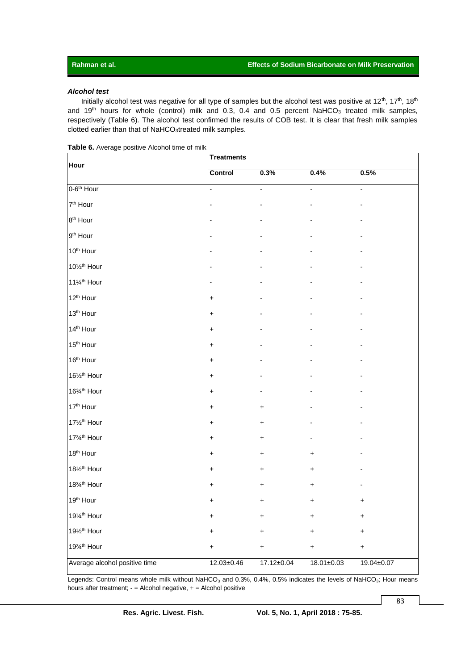#### *Alcohol test*

Initially alcohol test was negative for all type of samples but the alcohol test was positive at 12<sup>th</sup>, 17<sup>th</sup>, 18<sup>th</sup> and 19<sup>th</sup> hours for whole (control) milk and 0.3, 0.4 and 0.5 percent NaHCO<sub>3</sub> treated milk samples, respectively (Table 6). The alcohol test confirmed the results of COB test. It is clear that fresh milk samples clotted earlier than that of NaHCO3treated milk samples.

|  |  |  |  | <b>Table 6.</b> Average positive Alcohol time of milk |
|--|--|--|--|-------------------------------------------------------|
|--|--|--|--|-------------------------------------------------------|

| Hour                          | <b>Treatments</b> |                  |                  |                  |  |  |  |  |  |
|-------------------------------|-------------------|------------------|------------------|------------------|--|--|--|--|--|
|                               | Control           | 0.3%             | 0.4%             | 0.5%             |  |  |  |  |  |
| 0-6 <sup>th</sup> Hour        | $\blacksquare$    | $\Box$           | ÷,               | $\Box$           |  |  |  |  |  |
| 7 <sup>th</sup> Hour          |                   |                  |                  |                  |  |  |  |  |  |
| 8 <sup>th</sup> Hour          |                   |                  |                  |                  |  |  |  |  |  |
| $9th$ Hour                    |                   |                  |                  |                  |  |  |  |  |  |
| 10 <sup>th</sup> Hour         |                   |                  |                  |                  |  |  |  |  |  |
| 10% <sup>th</sup> Hour        |                   |                  |                  |                  |  |  |  |  |  |
| 111/4 <sup>th</sup> Hour      |                   |                  |                  |                  |  |  |  |  |  |
| 12 <sup>th</sup> Hour         | $\ddot{}$         |                  |                  |                  |  |  |  |  |  |
| 13 <sup>th</sup> Hour         | $\ddot{}$         |                  |                  |                  |  |  |  |  |  |
| 14 <sup>th</sup> Hour         | +                 |                  |                  |                  |  |  |  |  |  |
| 15 <sup>th</sup> Hour         | +                 |                  |                  |                  |  |  |  |  |  |
| 16 <sup>th</sup> Hour         | $\ddot{}$         |                  |                  |                  |  |  |  |  |  |
| 161/2 <sup>th</sup> Hour      | $\ddot{}$         |                  |                  |                  |  |  |  |  |  |
| 16% <sup>th</sup> Hour        | +                 |                  |                  |                  |  |  |  |  |  |
| 17th Hour                     | +                 | $\ddot{}$        |                  |                  |  |  |  |  |  |
| 171/2 <sup>th</sup> Hour      | $\ddot{}$         | $\ddot{}$        |                  |                  |  |  |  |  |  |
| 17% <sup>th</sup> Hour        | $\ddot{}$         | $\ddot{}$        |                  |                  |  |  |  |  |  |
| 18 <sup>th</sup> Hour         | $\ddot{}$         | $\ddot{}$        | $\pmb{+}$        |                  |  |  |  |  |  |
| 181/2 <sup>th</sup> Hour      | +                 | $\ddot{}$        | +                |                  |  |  |  |  |  |
| 18% <sup>th</sup> Hour        | +                 | $\ddot{}$        | +                |                  |  |  |  |  |  |
| 19 <sup>th</sup> Hour         | $\ddot{}$         | $\ddot{}$        | +                | +                |  |  |  |  |  |
| 191/4 <sup>th</sup> Hour      | $\pmb{+}$         | $\ddot{}$        | $\pmb{+}$        |                  |  |  |  |  |  |
| 191/2 <sup>th</sup> Hour      | +                 | +                | +                |                  |  |  |  |  |  |
| 19% <sup>th</sup> Hour        | +                 | +                | +                | +                |  |  |  |  |  |
| Average alcohol positive time | $12.03 \pm 0.46$  | $17.12 \pm 0.04$ | $18.01 \pm 0.03$ | $19.04 \pm 0.07$ |  |  |  |  |  |

Legends: Control means whole milk without NaHCO<sub>3</sub> and 0.3%, 0.4%, 0.5% indicates the levels of NaHCO<sub>3</sub>; Hour means hours after treatment;  $-$  = Alcohol negative,  $+$  = Alcohol positive

83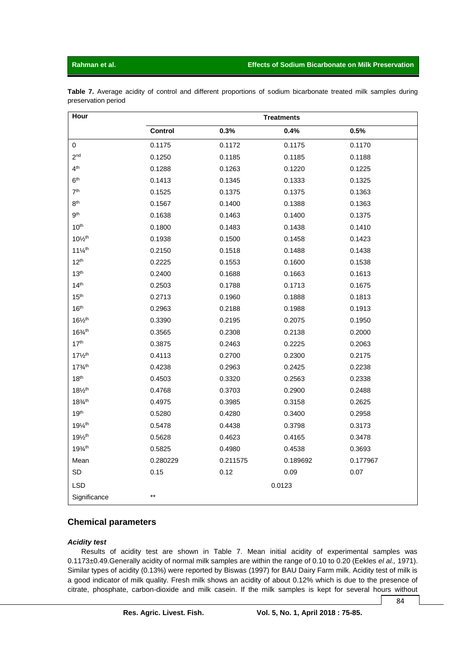#### **Rahman et al. Effects of Sodium Bicarbonate on Milk Preservation**

|                     |  |  |  |  | Table 7. Average acidity of control and different proportions of sodium bicarbonate treated milk samples during |  |  |
|---------------------|--|--|--|--|-----------------------------------------------------------------------------------------------------------------|--|--|
| preservation period |  |  |  |  |                                                                                                                 |  |  |

| Hour                          | <b>Treatments</b> |          |          |          |  |  |  |
|-------------------------------|-------------------|----------|----------|----------|--|--|--|
|                               | Control           | 0.3%     | 0.4%     | 0.5%     |  |  |  |
| 0                             | 0.1175            | 0.1172   | 0.1175   | 0.1170   |  |  |  |
| 2 <sup>nd</sup>               | 0.1250            | 0.1185   | 0.1185   | 0.1188   |  |  |  |
| 4 <sup>th</sup>               | 0.1288            | 0.1263   | 0.1220   | 0.1225   |  |  |  |
| 6 <sup>th</sup>               | 0.1413            | 0.1345   | 0.1333   | 0.1325   |  |  |  |
| 7 <sup>th</sup>               | 0.1525            | 0.1375   | 0.1375   | 0.1363   |  |  |  |
| 8 <sup>th</sup>               | 0.1567            | 0.1400   | 0.1388   | 0.1363   |  |  |  |
| 9 <sup>th</sup>               | 0.1638            | 0.1463   | 0.1400   | 0.1375   |  |  |  |
| 10 <sup>th</sup>              | 0.1800            | 0.1483   | 0.1438   | 0.1410   |  |  |  |
| $10\frac{1}{2}$ th            | 0.1938            | 0.1500   | 0.1458   | 0.1423   |  |  |  |
| $11\frac{1}{4}$ <sup>th</sup> | 0.2150            | 0.1518   | 0.1488   | 0.1438   |  |  |  |
| $12^{th}$                     | 0.2225            | 0.1553   | 0.1600   | 0.1538   |  |  |  |
| 13 <sup>th</sup>              | 0.2400            | 0.1688   | 0.1663   | 0.1613   |  |  |  |
| 14 <sup>th</sup>              | 0.2503            | 0.1788   | 0.1713   | 0.1675   |  |  |  |
| 15 <sup>th</sup>              | 0.2713            | 0.1960   | 0.1888   | 0.1813   |  |  |  |
| 16 <sup>th</sup>              | 0.2963            | 0.2188   | 0.1988   | 0.1913   |  |  |  |
| $16\frac{1}{2}$ <sup>th</sup> | 0.3390            | 0.2195   | 0.2075   | 0.1950   |  |  |  |
| $16\frac{3}{4}$ th            | 0.3565            | 0.2308   | 0.2138   | 0.2000   |  |  |  |
| 17 <sup>th</sup>              | 0.3875            | 0.2463   | 0.2225   | 0.2063   |  |  |  |
| $17\frac{1}{2}$ <sup>th</sup> | 0.4113            | 0.2700   | 0.2300   | 0.2175   |  |  |  |
| $17^{3/1h}$                   | 0.4238            | 0.2963   | 0.2425   | 0.2238   |  |  |  |
| 18 <sup>th</sup>              | 0.4503            | 0.3320   | 0.2563   | 0.2338   |  |  |  |
| $18\frac{1}{2}$ <sup>th</sup> | 0.4768            | 0.3703   | 0.2900   | 0.2488   |  |  |  |
| $18\%$ <sup>th</sup>          | 0.4975            | 0.3985   | 0.3158   | 0.2625   |  |  |  |
| 19 <sup>th</sup>              | 0.5280            | 0.4280   | 0.3400   | 0.2958   |  |  |  |
| 191/4 <sup>th</sup>           | 0.5478            | 0.4438   | 0.3798   | 0.3173   |  |  |  |
| 191/ <sub>2th</sub>           | 0.5628            | 0.4623   | 0.4165   | 0.3478   |  |  |  |
| $19^{3/1h}$                   | 0.5825            | 0.4980   | 0.4538   | 0.3693   |  |  |  |
| Mean                          | 0.280229          | 0.211575 | 0.189692 | 0.177967 |  |  |  |
| SD                            | 0.15              | 0.12     | 0.09     | 0.07     |  |  |  |
| <b>LSD</b>                    |                   |          | 0.0123   |          |  |  |  |
| Significance                  | $***$             |          |          |          |  |  |  |

### **Chemical parameters**

#### *Acidity test*

Results of acidity test are shown in Table 7. Mean initial acidity of experimental samples was 0.1173±0.49.Generally acidity of normal milk samples are within the range of 0.10 to 0.20 (Eekles *el al.,* 1971). Similar types of acidity (0.13%) were reported by Biswas (1997) for BAU Dairy Farm milk. Acidity test of milk is a good indicator of milk quality. Fresh milk shows an acidity of about 0.12% which is due to the presence of citrate, phosphate, carbon-dioxide and milk casein. If the milk samples is kept for several hours without

84